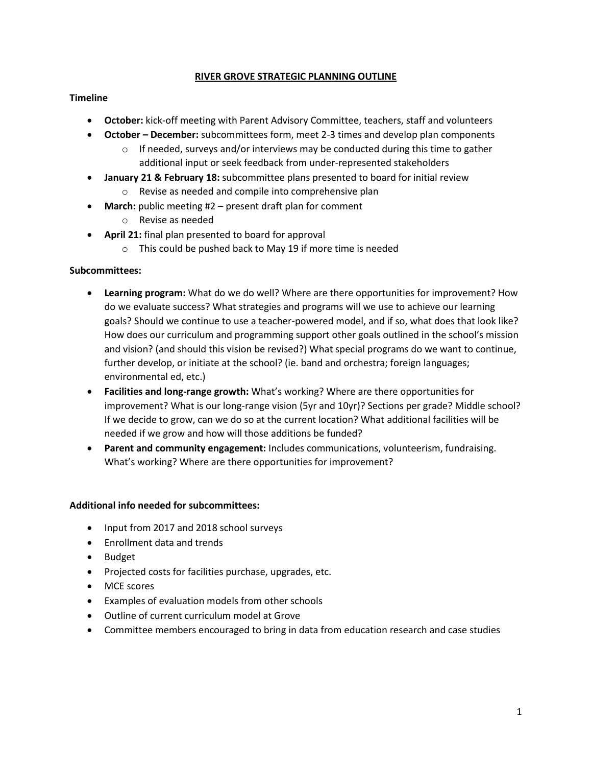## **RIVER GROVE STRATEGIC PLANNING OUTLINE**

# **Timeline**

- **October:** kick-off meeting with Parent Advisory Committee, teachers, staff and volunteers
- **October – December:** subcommittees form, meet 2-3 times and develop plan components
	- $\circ$  If needed, surveys and/or interviews may be conducted during this time to gather additional input or seek feedback from under-represented stakeholders
- **January 21 & February 18:** subcommittee plans presented to board for initial review o Revise as needed and compile into comprehensive plan
- **March:** public meeting #2 present draft plan for comment
	- o Revise as needed
- **April 21:** final plan presented to board for approval
	- o This could be pushed back to May 19 if more time is needed

## **Subcommittees:**

- **Learning program:** What do we do well? Where are there opportunities for improvement? How do we evaluate success? What strategies and programs will we use to achieve our learning goals? Should we continue to use a teacher-powered model, and if so, what does that look like? How does our curriculum and programming support other goals outlined in the school's mission and vision? (and should this vision be revised?) What special programs do we want to continue, further develop, or initiate at the school? (ie. band and orchestra; foreign languages; environmental ed, etc.)
- **Facilities and long-range growth:** What's working? Where are there opportunities for improvement? What is our long-range vision (5yr and 10yr)? Sections per grade? Middle school? If we decide to grow, can we do so at the current location? What additional facilities will be needed if we grow and how will those additions be funded?
- **Parent and community engagement:** Includes communications, volunteerism, fundraising. What's working? Where are there opportunities for improvement?

#### **Additional info needed for subcommittees:**

- Input from 2017 and 2018 school surveys
- Enrollment data and trends
- Budget
- Projected costs for facilities purchase, upgrades, etc.
- MCE scores
- Examples of evaluation models from other schools
- Outline of current curriculum model at Grove
- Committee members encouraged to bring in data from education research and case studies